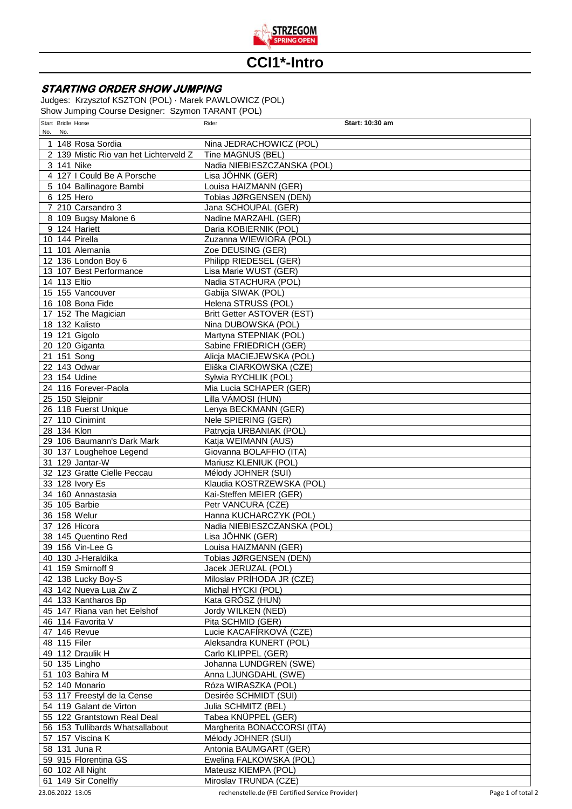

## **CCI1\*-Intro**

## **STARTING ORDER SHOW JUMPING**

Judges: Krzysztof KSZTON (POL) · Marek PAWLOWICZ (POL) Show Jumping Course Designer: Szymon TARANT (POL)

| No. | Start Bridle Horse<br>No. |                                         | Rider                                           | Start: 10:30 am |
|-----|---------------------------|-----------------------------------------|-------------------------------------------------|-----------------|
|     |                           | 1 148 Rosa Sordia                       | Nina JEDRACHOWICZ (POL)                         |                 |
|     |                           | 2 139 Mistic Rio van het Lichterveld Z  | Tine MAGNUS (BEL)                               |                 |
|     |                           | 3 141 Nike                              | Nadia NIEBIESZCZANSKA (POL)                     |                 |
|     |                           | 4 127 I Could Be A Porsche              | Lisa JÖHNK (GER)                                |                 |
|     |                           | 5 104 Ballinagore Bambi                 | Louisa HAIZMANN (GER)                           |                 |
|     |                           | 6 125 Hero                              | Tobias JØRGENSEN (DEN)                          |                 |
|     |                           | 7 210 Carsandro 3                       | Jana SCHOUPAL (GER)                             |                 |
|     |                           | 8 109 Bugsy Malone 6                    | Nadine MARZAHL (GER)                            |                 |
|     |                           | 9 124 Hariett                           | Daria KOBIERNIK (POL)                           |                 |
|     |                           | 10 144 Pirella                          | Zuzanna WIEWIORA (POL)                          |                 |
|     |                           | 11 101 Alemania                         | Zoe DEUSING (GER)                               |                 |
|     |                           | 12 136 London Boy 6                     | Philipp RIEDESEL (GER)                          |                 |
|     |                           | 13 107 Best Performance                 | Lisa Marie WUST (GER)                           |                 |
|     |                           | 14 113 Eltio                            | Nadia STACHURA (POL)                            |                 |
|     |                           | 15 155 Vancouver                        | Gabija SIWAK (POL)                              |                 |
|     |                           | 16 108 Bona Fide                        | Helena STRUSS (POL)                             |                 |
|     |                           | 17 152 The Magician                     | Britt Getter ASTOVER (EST)                      |                 |
|     |                           | 18 132 Kalisto                          | Nina DUBOWSKA (POL)                             |                 |
|     |                           | 19 121 Gigolo                           | Martyna STEPNIAK (POL)                          |                 |
|     |                           | 20 120 Giganta                          | Sabine FRIEDRICH (GER)                          |                 |
|     |                           | 21 151 Song                             | Alicja MACIEJEWSKA (POL)                        |                 |
|     |                           | 22 143 Odwar                            | Eliška CIARKOWSKA (CZE)                         |                 |
|     |                           | 23 154 Udine                            | Sylwia RYCHLIK (POL)                            |                 |
|     |                           | 24 116 Forever-Paola                    | Mia Lucia SCHAPER (GER)                         |                 |
|     |                           | 25 150 Sleipnir                         | Lilla VÁMOSI (HUN)                              |                 |
|     |                           | 26 118 Fuerst Unique<br>27 110 Cinimint | Lenya BECKMANN (GER)                            |                 |
|     |                           | 28 134 Klon                             | Nele SPIERING (GER)<br>Patrycja URBANIAK (POL)  |                 |
|     |                           | 29 106 Baumann's Dark Mark              | Katja WEIMANN (AUS)                             |                 |
|     |                           | 30 137 Loughehoe Legend                 | Giovanna BOLAFFIO (ITA)                         |                 |
|     |                           | 31 129 Jantar-W                         | Mariusz KLENIUK (POL)                           |                 |
|     |                           | 32 123 Gratte Cielle Peccau             | Mélody JOHNER (SUI)                             |                 |
|     |                           | 33 128 Ivory Es                         | Klaudia KOSTRZEWSKA (POL)                       |                 |
|     |                           | 34 160 Annastasia                       | Kai-Steffen MEIER (GER)                         |                 |
|     |                           | 35 105 Barbie                           | Petr VANCURA (CZE)                              |                 |
|     |                           | 36 158 Welur                            | Hanna KUCHARCZYK (POL)                          |                 |
|     |                           | 37 126 Hicora                           | Nadia NIEBIESZCZANSKA (POL)                     |                 |
|     |                           | 38 145 Quentino Red                     | Lisa JÖHNK (GER)                                |                 |
|     |                           | 39 156 Vin-Lee G                        | Louisa HAIZMANN (GER)                           |                 |
|     |                           | 40 130 J-Heraldika                      | Tobias JØRGENSEN (DEN)                          |                 |
|     |                           | 41 159 Smirnoff 9<br>42 138 Lucky Boy-S | Jacek JERUZAL (POL)                             |                 |
|     |                           | 43 142 Nueva Lua Zw Z                   | Miloslav PRÍHODA JR (CZE)<br>Michal HYCKI (POL) |                 |
|     |                           | 44 133 Kantharos Bp                     | Kata GRÓSZ (HUN)                                |                 |
|     |                           | 45 147 Riana van het Eelshof            | Jordy WILKEN (NED)                              |                 |
|     |                           | 46 114 Favorita V                       | Pita SCHMID (GER)                               |                 |
|     |                           | 47 146 Revue                            | Lucie KACAFÍRKOVÁ (CZE)                         |                 |
|     |                           | 48 115 Filer                            | Aleksandra KUNERT (POL)                         |                 |
|     |                           | 49 112 Draulik H                        | Carlo KLIPPEL (GER)                             |                 |
|     |                           | 50 135 Lingho                           | Johanna LUNDGREN (SWE)                          |                 |
|     |                           | 51 103 Bahira M                         | Anna LJUNGDAHL (SWE)                            |                 |
|     |                           | 52 140 Monario                          | Róza WIRASZKA (POL)                             |                 |
|     |                           | 53 117 Freestyl de la Cense             | Desirée SCHMIDT (SUI)                           |                 |
|     |                           | 54 119 Galant de Virton                 | Julia SCHMITZ (BEL)                             |                 |
|     |                           | 55 122 Grantstown Real Deal             | Tabea KNÜPPEL (GER)                             |                 |
|     |                           | 56 153 Tullibards Whatsallabout         | Margherita BONACCORSI (ITA)                     |                 |
|     |                           | 57 157 Viscina K<br>58 131 Juna R       | Mélody JOHNER (SUI)<br>Antonia BAUMGART (GER)   |                 |
|     |                           | 59 915 Florentina GS                    | Ewelina FALKOWSKA (POL)                         |                 |
|     |                           | 60 102 All Night                        | Mateusz KIEMPA (POL)                            |                 |
|     |                           | 61 149 Sir Conelfly                     | Miroslav TRUNDA (CZE)                           |                 |
|     |                           |                                         |                                                 |                 |